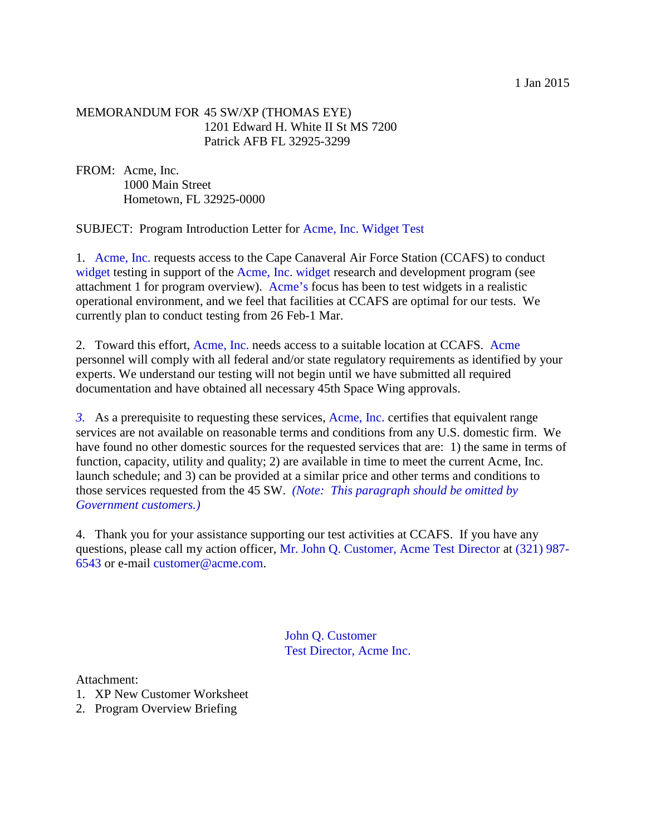## MEMORANDUM FOR 45 SW/XP (THOMAS EYE) 1201 Edward H. White II St MS 7200 Patrick AFB FL 32925-3299

FROM: Acme, Inc. 1000 Main Street Hometown, FL 32925-0000

SUBJECT: Program Introduction Letter for Acme, Inc. Widget Test

1. Acme, Inc. requests access to the Cape Canaveral Air Force Station (CCAFS) to conduct widget testing in support of the Acme, Inc. widget research and development program (see attachment 1 for program overview). Acme's focus has been to test widgets in a realistic operational environment, and we feel that facilities at CCAFS are optimal for our tests. We currently plan to conduct testing from 26 Feb-1 Mar.

2. Toward this effort, Acme, Inc. needs access to a suitable location at CCAFS. Acme personnel will comply with all federal and/or state regulatory requirements as identified by your experts. We understand our testing will not begin until we have submitted all required documentation and have obtained all necessary 45th Space Wing approvals.

*3.* As a prerequisite to requesting these services, Acme, Inc. certifies that equivalent range services are not available on reasonable terms and conditions from any U.S. domestic firm. We have found no other domestic sources for the requested services that are: 1) the same in terms of function, capacity, utility and quality; 2) are available in time to meet the current Acme, Inc. launch schedule; and 3) can be provided at a similar price and other terms and conditions to those services requested from the 45 SW. *(Note: This paragraph should be omitted by Government customers.)*

4. Thank you for your assistance supporting our test activities at CCAFS. If you have any questions, please call my action officer, Mr. John Q. Customer, Acme Test Director at (321) 987- 6543 or e-mail customer@acme.com.

> John Q. Customer Test Director, Acme Inc.

Attachment:

- 1. XP New Customer Worksheet
- 2. Program Overview Briefing